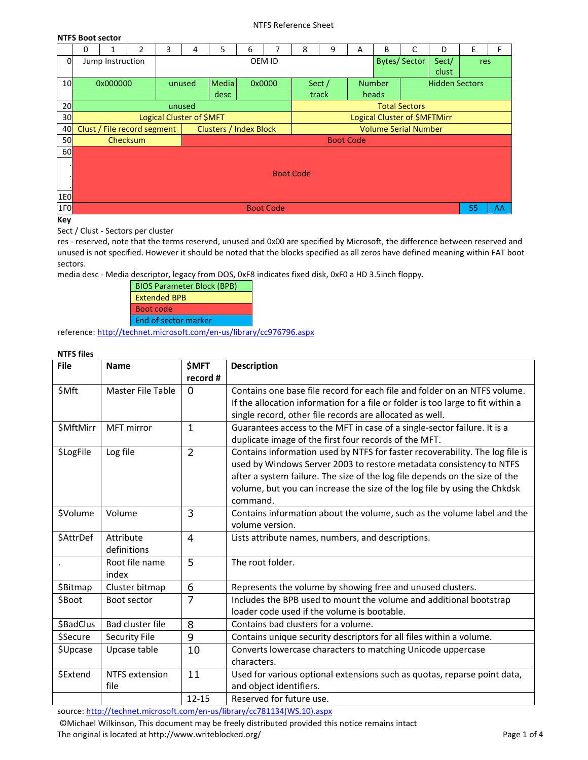#### NTFS Reference Sheet

### **NTFS Boot sector**

|                 | 0                | 1                | 2                           | 3      | 4                        | 5                             | 6 | 7      | 8                | 9                | A | B             | C                            | D                     | E   | F |
|-----------------|------------------|------------------|-----------------------------|--------|--------------------------|-------------------------------|---|--------|------------------|------------------|---|---------------|------------------------------|-----------------------|-----|---|
| 0               |                  | Jump Instruction |                             |        |                          |                               |   | OEM ID |                  |                  |   |               | <b>Bytes/Sector</b>          | Sect/                 | res |   |
|                 |                  |                  |                             |        |                          |                               |   |        |                  |                  |   |               |                              | clust                 |     |   |
| 10 <sup>l</sup> |                  | 0x000000         |                             |        | unused                   | <b>Media</b>                  |   | 0x0000 |                  | Sect /           |   | <b>Number</b> |                              | <b>Hidden Sectors</b> |     |   |
|                 |                  |                  |                             |        |                          | desc                          |   |        |                  | track            |   | heads         |                              |                       |     |   |
| 20              |                  |                  |                             | unused |                          |                               |   |        |                  |                  |   |               | <b>Total Sectors</b>         |                       |     |   |
| 30 <sup>l</sup> |                  |                  |                             |        | Logical Cluster of \$MFT |                               |   |        |                  |                  |   |               | Logical Cluster of \$MFTMirr |                       |     |   |
| 40 <sup>°</sup> |                  |                  | Clust / File record segment |        |                          | <b>Clusters / Index Block</b> |   |        |                  |                  |   |               | <b>Volume Serial Number</b>  |                       |     |   |
| 50              |                  |                  | <b>Checksum</b>             |        |                          |                               |   |        |                  | <b>Boot Code</b> |   |               |                              |                       |     |   |
| 60              |                  |                  |                             |        |                          |                               |   |        |                  |                  |   |               |                              |                       |     |   |
|                 |                  |                  |                             |        |                          |                               |   |        |                  |                  |   |               |                              |                       |     |   |
|                 |                  |                  |                             |        |                          |                               |   |        | <b>Boot Code</b> |                  |   |               |                              |                       |     |   |
|                 |                  |                  |                             |        |                          |                               |   |        |                  |                  |   |               |                              |                       |     |   |
| 1E0             |                  |                  |                             |        |                          |                               |   |        |                  |                  |   |               |                              |                       |     |   |
| 1F <sub>0</sub> | <b>Boot Code</b> |                  |                             |        |                          |                               |   |        |                  |                  |   |               |                              | 55                    | AA  |   |

**Key** 

Sect / Clust - Sectors per cluster

res - reserved, note that the terms reserved, unused and 0x00 are specified by Microsoft, the difference between reserved and unused is not specified. However it should be noted that the blocks specified as all zeros have defined meaning within FAT boot sectors.

media desc - Media descriptor, legacy from DOS, 0xF8 indicates fixed disk, 0xF0 a HD 3.5inch floppy.



reference: http://technet.microsoft.com/en-us/library/cc976796.aspx

## **NTFS files**

| <b>File</b> | <b>Name</b>                   | <b>\$MFT</b>   | <b>Description</b>                                                                                                                                                                                                                                                                                                          |
|-------------|-------------------------------|----------------|-----------------------------------------------------------------------------------------------------------------------------------------------------------------------------------------------------------------------------------------------------------------------------------------------------------------------------|
|             |                               | record #       |                                                                                                                                                                                                                                                                                                                             |
| \$Mft       | Master File Table             | $\Omega$       | Contains one base file record for each file and folder on an NTFS volume.<br>If the allocation information for a file or folder is too large to fit within a<br>single record, other file records are allocated as well.                                                                                                    |
| \$MftMirr   | <b>MFT</b> mirror             | 1              | Guarantees access to the MFT in case of a single-sector failure. It is a<br>duplicate image of the first four records of the MFT.                                                                                                                                                                                           |
| \$LogFile   | Log file                      | $\overline{2}$ | Contains information used by NTFS for faster recoverability. The log file is<br>used by Windows Server 2003 to restore metadata consistency to NTFS<br>after a system failure. The size of the log file depends on the size of the<br>volume, but you can increase the size of the log file by using the Chkdsk<br>command. |
| \$Volume    | Volume                        | 3              | Contains information about the volume, such as the volume label and the<br>volume version.                                                                                                                                                                                                                                  |
| \$AttrDef   | Attribute<br>definitions      | $\overline{4}$ | Lists attribute names, numbers, and descriptions.                                                                                                                                                                                                                                                                           |
|             | Root file name<br>index       | 5              | The root folder.                                                                                                                                                                                                                                                                                                            |
| \$Bitmap    | Cluster bitmap                | 6              | Represents the volume by showing free and unused clusters.                                                                                                                                                                                                                                                                  |
| \$Boot      | Boot sector                   | 7              | Includes the BPB used to mount the volume and additional bootstrap<br>loader code used if the volume is bootable.                                                                                                                                                                                                           |
| \$BadClus   | Bad cluster file              | 8              | Contains bad clusters for a volume.                                                                                                                                                                                                                                                                                         |
| \$Secure    | <b>Security File</b>          | 9              | Contains unique security descriptors for all files within a volume.                                                                                                                                                                                                                                                         |
| \$Upcase    | Upcase table                  | 10             | Converts lowercase characters to matching Unicode uppercase<br>characters.                                                                                                                                                                                                                                                  |
| \$Extend    | <b>NTFS</b> extension<br>file | 11             | Used for various optional extensions such as quotas, reparse point data,<br>and object identifiers.                                                                                                                                                                                                                         |
|             |                               | $12 - 15$      | Reserved for future use.                                                                                                                                                                                                                                                                                                    |

source: http://technet.microsoft.com/en-us/library/cc781134(WS.10).aspx

 ©Michael Wilkinson, This document may be freely distributed provided this notice remains intact The original is located at http://www.writeblocked.org/ Page 1 of 4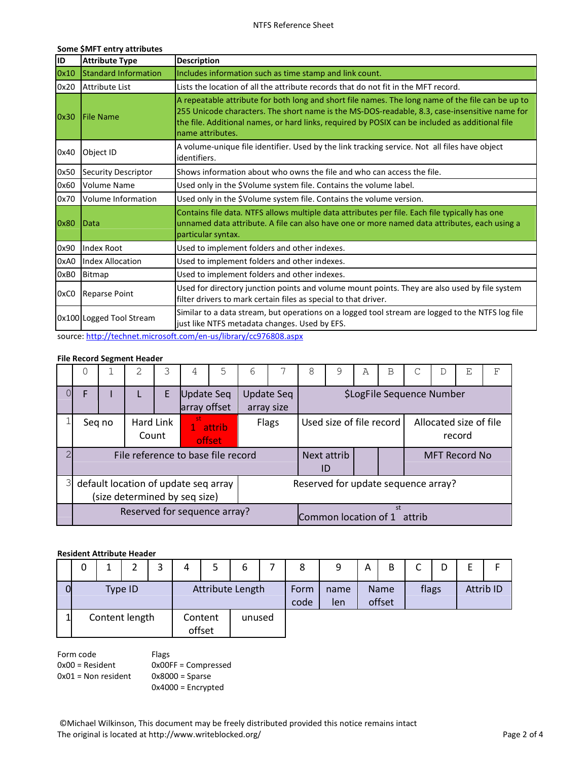# **Some \$MFT entry attributes**

| <b>Attribute Type</b>                                                                                                                                                         | <b>Description</b>                                                                                                                                                                                                                                                                                                        |  |  |  |  |  |
|-------------------------------------------------------------------------------------------------------------------------------------------------------------------------------|---------------------------------------------------------------------------------------------------------------------------------------------------------------------------------------------------------------------------------------------------------------------------------------------------------------------------|--|--|--|--|--|
|                                                                                                                                                                               | Includes information such as time stamp and link count.                                                                                                                                                                                                                                                                   |  |  |  |  |  |
|                                                                                                                                                                               | Lists the location of all the attribute records that do not fit in the MFT record.                                                                                                                                                                                                                                        |  |  |  |  |  |
|                                                                                                                                                                               | A repeatable attribute for both long and short file names. The long name of the file can be up to<br>255 Unicode characters. The short name is the MS-DOS-readable, 8.3, case-insensitive name for<br>the file. Additional names, or hard links, required by POSIX can be included as additional file<br>name attributes. |  |  |  |  |  |
| Object ID                                                                                                                                                                     | A volume-unique file identifier. Used by the link tracking service. Not all files have object<br>identifiers.                                                                                                                                                                                                             |  |  |  |  |  |
| <b>Security Descriptor</b>                                                                                                                                                    | Shows information about who owns the file and who can access the file.                                                                                                                                                                                                                                                    |  |  |  |  |  |
| <b>Volume Name</b>                                                                                                                                                            | Used only in the \$Volume system file. Contains the volume label.                                                                                                                                                                                                                                                         |  |  |  |  |  |
| Volume Information                                                                                                                                                            | Used only in the \$Volume system file. Contains the volume version.                                                                                                                                                                                                                                                       |  |  |  |  |  |
|                                                                                                                                                                               | Contains file data. NTFS allows multiple data attributes per file. Each file typically has one<br>unnamed data attribute. A file can also have one or more named data attributes, each using a<br>particular syntax.                                                                                                      |  |  |  |  |  |
| <b>Index Root</b>                                                                                                                                                             | Used to implement folders and other indexes.                                                                                                                                                                                                                                                                              |  |  |  |  |  |
| <b>Index Allocation</b>                                                                                                                                                       | Used to implement folders and other indexes.                                                                                                                                                                                                                                                                              |  |  |  |  |  |
|                                                                                                                                                                               | Used to implement folders and other indexes.                                                                                                                                                                                                                                                                              |  |  |  |  |  |
|                                                                                                                                                                               | Used for directory junction points and volume mount points. They are also used by file system<br>filter drivers to mark certain files as special to that driver.                                                                                                                                                          |  |  |  |  |  |
| Similar to a data stream, but operations on a logged tool stream are logged to the NTFS log file<br>0x100 Logged Tool Stream<br>just like NTFS metadata changes. Used by EFS. |                                                                                                                                                                                                                                                                                                                           |  |  |  |  |  |
|                                                                                                                                                                               | <b>Standard Information</b><br><b>Attribute List</b><br><b>IFile Name</b><br><b>I</b> Data<br>Bitmap<br><b>Reparse Point</b><br>a colladata a diffusional a constanta a constanta de la constanta de la constanta de la constanta de la consta                                                                            |  |  |  |  |  |

source: http://technet.microsoft.com/en-us/library/cc976808.aspx

### **File Record Segment Header**

|               | $\cup$ |        | 2                                                                     |   | 4                          | 5                                  | 6 |                                 | 8 | 9                                   | A | B  |                                  | D | Ε                    | F |
|---------------|--------|--------|-----------------------------------------------------------------------|---|----------------------------|------------------------------------|---|---------------------------------|---|-------------------------------------|---|----|----------------------------------|---|----------------------|---|
| 0             | F      |        |                                                                       | Е | Update Seq<br>array offset |                                    |   | <b>Update Seq</b><br>array size |   |                                     |   |    | \$LogFile Sequence Number        |   |                      |   |
|               |        | Seq no | Hard Link<br>Count                                                    |   | .st<br>1 attrib<br>offset  | Flags                              |   | Used size of file record        |   |                                     |   |    | Allocated size of file<br>record |   |                      |   |
| $\mathcal{P}$ |        |        |                                                                       |   |                            | File reference to base file record |   |                                 |   | Next attrib<br>ID                   |   |    |                                  |   | <b>MFT Record No</b> |   |
| $\mathcal{E}$ |        |        | default location of update seq array<br>(size determined by seq size) |   |                            |                                    |   |                                 |   | Reserved for update sequence array? |   |    |                                  |   |                      |   |
|               |        |        |                                                                       |   |                            | Reserved for sequence array?       |   |                                 |   | Common location of 1 attrib         |   | st |                                  |   |                      |   |

## **Resident Attribute Header**

|   | 0 |                             |  |  | 4 | 5                 | 6      | 8            | 9           | A | B                     | ◠<br>◡ | D |           |
|---|---|-----------------------------|--|--|---|-------------------|--------|--------------|-------------|---|-----------------------|--------|---|-----------|
| 0 |   | Attribute Length<br>Type ID |  |  |   |                   |        | Form<br>code | name<br>len |   | <b>Name</b><br>offset | flags  |   | Attrib ID |
|   |   | Content length              |  |  |   | Content<br>offset | unused |              |             |   |                       |        |   |           |

Form code 0x00 = Resident 0x01 = Non resident Flags 0x00FF = Compressed 0x8000 = Sparse 0x4000 = Encrypted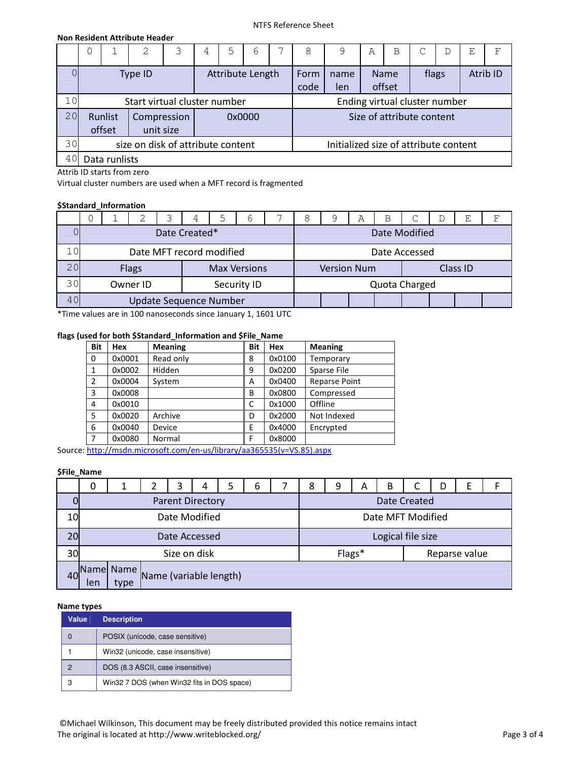#### NTFS Reference Sheet

### **Non Resident Attribute Header**

|    | U |                   |                                   | 3 | 4 | 5 | 6                | 8                         |                                       | А | Β                             | С     | D | E | F        |
|----|---|-------------------|-----------------------------------|---|---|---|------------------|---------------------------|---------------------------------------|---|-------------------------------|-------|---|---|----------|
|    |   |                   | Type ID                           |   |   |   | Attribute Length | Form<br>code              | name<br>len                           |   | <b>Name</b><br>offset         | flags |   |   | Atrib ID |
| 10 |   |                   | Start virtual cluster number      |   |   |   |                  |                           |                                       |   | Ending virtual cluster number |       |   |   |          |
| 20 |   | Runlist<br>offset | Compression<br>unit size          |   |   |   |                  | Size of attribute content |                                       |   |                               |       |   |   |          |
| 30 |   |                   | size on disk of attribute content |   |   |   |                  |                           | Initialized size of attribute content |   |                               |       |   |   |          |
| 40 |   | Data runlists     |                                   |   |   |   |                  |                           |                                       |   |                               |       |   |   |          |

Attrib ID starts from zero

Virtual cluster numbers are used when a MFT record is fragmented

## **\$Standard\_Information**

|     |  | ◠                        |               | ↳                             | 6                   |  | 9                  | Α | B |               | E        | ਸ਼ਾ |
|-----|--|--------------------------|---------------|-------------------------------|---------------------|--|--------------------|---|---|---------------|----------|-----|
|     |  |                          | Date Created* |                               |                     |  |                    |   |   | Date Modified |          |     |
|     |  | Date MFT record modified |               |                               |                     |  |                    |   |   | Date Accessed |          |     |
| 20  |  | <b>Flags</b>             |               |                               | <b>Max Versions</b> |  | <b>Version Num</b> |   |   |               | Class ID |     |
| 30  |  | Owner ID                 |               |                               | Security ID         |  |                    |   |   | Quota Charged |          |     |
| 4 C |  |                          |               | <b>Update Sequence Number</b> |                     |  |                    |   |   |               |          |     |

\*Time values are in 100 nanoseconds since January 1, 1601 UTC

# **flags (used for both \$Standard\_Information and \$File\_Name**

| <b>Bit</b>     | Hex    | <b>Meaning</b> | <b>Bit</b> | Hex    | <b>Meaning</b>       |
|----------------|--------|----------------|------------|--------|----------------------|
| $\Omega$       | 0x0001 | Read only      | 8          | 0x0100 | Temporary            |
| $\mathbf{1}$   | 0x0002 | Hidden         | 9          | 0x0200 | Sparse File          |
| $\overline{2}$ | 0x0004 | System         | A          | 0x0400 | <b>Reparse Point</b> |
| 3              | 0x0008 |                | B          | 0x0800 | Compressed           |
| 4              | 0x0010 |                | C          | 0x1000 | Offline              |
| 5              | 0x0020 | Archive        | D          | 0x2000 | Not Indexed          |
| 6              | 0x0040 | Device         | E          | 0x4000 | Encrypted            |
| 7              | 0x0080 | Normal         | F          | 0x8000 |                      |

Source: http://msdn.microsoft.com/en-us/library/aa365535(v=VS.85).aspx

## **\$File\_Name**

|    | 0   |                   |                        | 3 | 4                       | 5 | b | 8 | 9      | A | B |                   | D | F             |  |
|----|-----|-------------------|------------------------|---|-------------------------|---|---|---|--------|---|---|-------------------|---|---------------|--|
|    |     |                   |                        |   | <b>Parent Directory</b> |   |   |   |        |   |   | Date Created      |   |               |  |
| 10 |     |                   |                        |   | Date Modified           |   |   |   |        |   |   | Date MFT Modified |   |               |  |
| 20 |     |                   |                        |   | Date Accessed           |   |   |   |        |   |   | Logical file size |   |               |  |
| 30 |     |                   |                        |   | Size on disk            |   |   |   | Flags* |   |   |                   |   | Reparse value |  |
| 40 | len | Name Name<br>type | Name (variable length) |   |                         |   |   |   |        |   |   |                   |   |               |  |

### **Name types**

| Value | <b>Description</b>                         |
|-------|--------------------------------------------|
| O     | POSIX (unicode, case sensitive)            |
|       | Win32 (unicode, case insensitive)          |
| 2     | DOS (8.3 ASCII, case insensitive)          |
| 3     | Win32 7 DOS (when Win32 fits in DOS space) |

 ©Michael Wilkinson, This document may be freely distributed provided this notice remains intact The original is located at http://www.writeblocked.org/<br>
Page 3 of 4